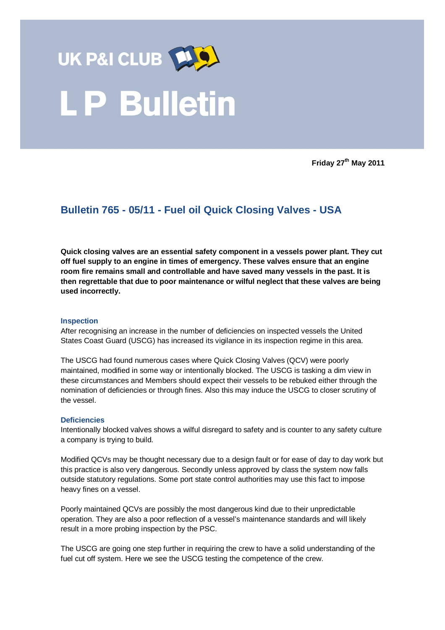

**Friday 27th May 2011** 

## **Bulletin 765 - 05/11 - Fuel oil Quick Closing Valves - USA**

**Quick closing valves are an essential safety component in a vessels power plant. They cut off fuel supply to an engine in times of emergency. These valves ensure that an engine room fire remains small and controllable and have saved many vessels in the past. It is then regrettable that due to poor maintenance or wilful neglect that these valves are being used incorrectly.** 

## **Inspection**

After recognising an increase in the number of deficiencies on inspected vessels the United States Coast Guard (USCG) has increased its vigilance in its inspection regime in this area.

The USCG had found numerous cases where Quick Closing Valves (QCV) were poorly maintained, modified in some way or intentionally blocked. The USCG is tasking a dim view in these circumstances and Members should expect their vessels to be rebuked either through the nomination of deficiencies or through fines. Also this may induce the USCG to closer scrutiny of the vessel.

## **Deficiencies**

Intentionally blocked valves shows a wilful disregard to safety and is counter to any safety culture a company is trying to build.

Modified QCVs may be thought necessary due to a design fault or for ease of day to day work but this practice is also very dangerous. Secondly unless approved by class the system now falls outside statutory regulations. Some port state control authorities may use this fact to impose heavy fines on a vessel.

Poorly maintained QCVs are possibly the most dangerous kind due to their unpredictable operation. They are also a poor reflection of a vessel's maintenance standards and will likely result in a more probing inspection by the PSC.

The USCG are going one step further in requiring the crew to have a solid understanding of the fuel cut off system. Here we see the USCG testing the competence of the crew.